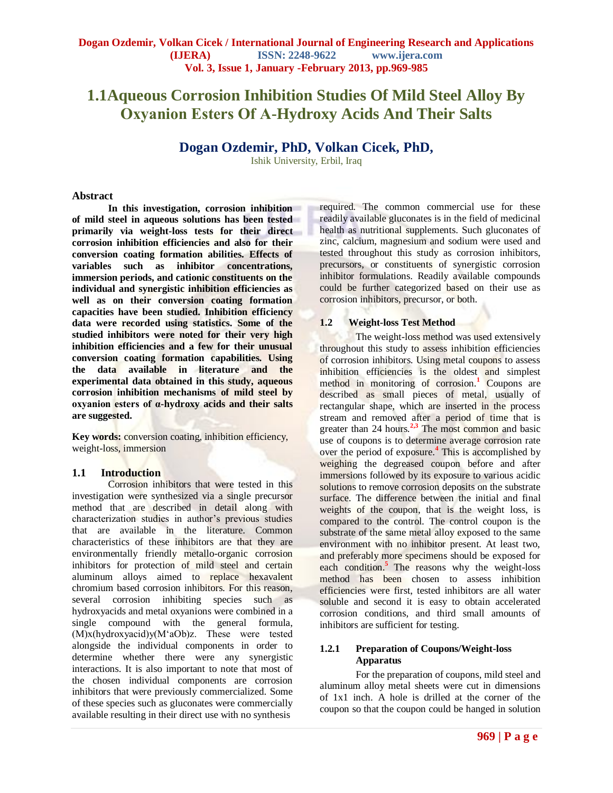# **1.1Aqueous Corrosion Inhibition Studies Of Mild Steel Alloy By Oxyanion Esters Of Α-Hydroxy Acids And Their Salts**

# **Dogan Ozdemir, PhD, Volkan Cicek, PhD,**

Ishik University, Erbil, Iraq

#### **Abstract**

**In this investigation, corrosion inhibition of mild steel in aqueous solutions has been tested primarily via weight-loss tests for their direct corrosion inhibition efficiencies and also for their conversion coating formation abilities. Effects of variables such as inhibitor concentrations, immersion periods, and cationic constituents on the individual and synergistic inhibition efficiencies as well as on their conversion coating formation capacities have been studied. Inhibition efficiency data were recorded using statistics. Some of the studied inhibitors were noted for their very high inhibition efficiencies and a few for their unusual conversion coating formation capabilities. Using the data available in literature and the experimental data obtained in this study, aqueous corrosion inhibition mechanisms of mild steel by oxyanion esters of α-hydroxy acids and their salts are suggested.** 

**Key words:** conversion coating, inhibition efficiency, weight-loss, immersion

## **1.1 Introduction**

Corrosion inhibitors that were tested in this investigation were synthesized via a single precursor method that are described in detail along with characterization studies in author's previous studies that are available in the literature. Common characteristics of these inhibitors are that they are environmentally friendly metallo-organic corrosion inhibitors for protection of mild steel and certain aluminum alloys aimed to replace hexavalent chromium based corrosion inhibitors. For this reason, several corrosion inhibiting species such as hydroxyacids and metal oxyanions were combined in a single compound with the general formula, (M)x(hydroxyacid)y(M'aOb)z. These were tested alongside the individual components in order to determine whether there were any synergistic interactions. It is also important to note that most of the chosen individual components are corrosion inhibitors that were previously commercialized. Some of these species such as gluconates were commercially available resulting in their direct use with no synthesis

required. The common commercial use for these readily available gluconates is in the field of medicinal health as nutritional supplements. Such gluconates of zinc, calcium, magnesium and sodium were used and tested throughout this study as corrosion inhibitors, precursors, or constituents of synergistic corrosion inhibitor formulations. Readily available compounds could be further categorized based on their use as corrosion inhibitors, precursor, or both.

## **1.2 Weight-loss Test Method**

The weight-loss method was used extensively throughout this study to assess inhibition efficiencies of corrosion inhibitors. Using metal coupons to assess inhibition efficiencies is the oldest and simplest method in monitoring of corrosion.**<sup>1</sup>** Coupons are described as small pieces of metal, usually of rectangular shape, which are inserted in the process stream and removed after a period of time that is greater than 24 hours.<sup>2,3</sup> The most common and basic use of coupons is to determine average corrosion rate over the period of exposure.**<sup>4</sup>** This is accomplished by weighing the degreased coupon before and after immersions followed by its exposure to various acidic solutions to remove corrosion deposits on the substrate surface. The difference between the initial and final weights of the coupon, that is the weight loss, is compared to the control. The control coupon is the substrate of the same metal alloy exposed to the same environment with no inhibitor present. At least two, and preferably more specimens should be exposed for each condition.<sup>5</sup> The reasons why the weight-loss method has been chosen to assess inhibition efficiencies were first, tested inhibitors are all water soluble and second it is easy to obtain accelerated corrosion conditions, and third small amounts of inhibitors are sufficient for testing.

## **1.2.1 Preparation of Coupons/Weight-loss Apparatus**

For the preparation of coupons, mild steel and aluminum alloy metal sheets were cut in dimensions of 1x1 inch. A hole is drilled at the corner of the coupon so that the coupon could be hanged in solution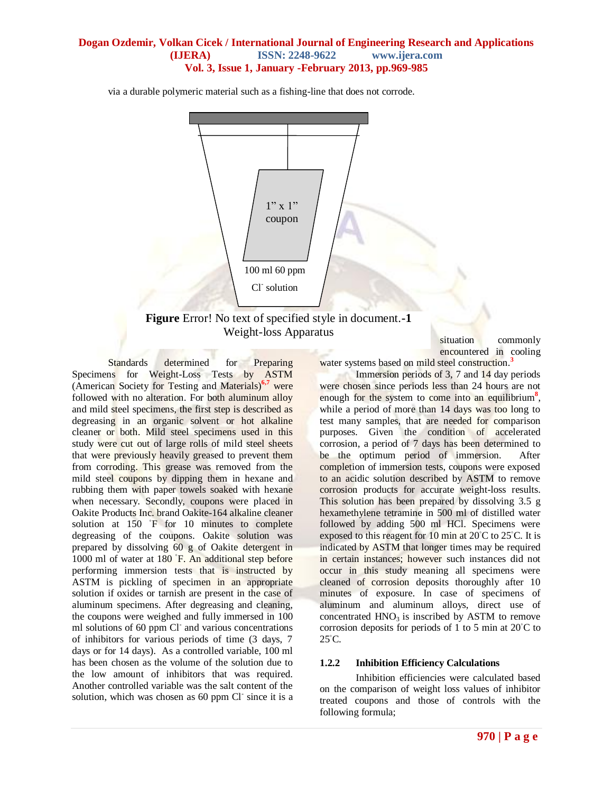via a durable polymeric material such as a fishing-line that does not corrode.



**Figure** Error! No text of specified style in document.**-1**  Weight-loss Apparatus

Standards determined for Preparing Specimens for Weight-Loss Tests by ASTM (American Society for Testing and Materials)**6,7** were followed with no alteration. For both aluminum alloy and mild steel specimens, the first step is described as degreasing in an organic solvent or hot alkaline cleaner or both. Mild steel specimens used in this study were cut out of large rolls of mild steel sheets that were previously heavily greased to prevent them from corroding. This grease was removed from the mild steel coupons by dipping them in hexane and rubbing them with paper towels soaked with hexane when necessary. Secondly, coupons were placed in Oakite Products Inc. brand Oakite-164 alkaline cleaner solution at 150 °F for 10 minutes to complete degreasing of the coupons. Oakite solution was prepared by dissolving 60 g of Oakite detergent in 1000 ml of water at 180 °F. An additional step before performing immersion tests that is instructed by ASTM is pickling of specimen in an appropriate solution if oxides or tarnish are present in the case of aluminum specimens. After degreasing and cleaning, the coupons were weighed and fully immersed in 100 ml solutions of 60 ppm Cl<sup>-</sup> and various concentrations of inhibitors for various periods of time (3 days, 7 days or for 14 days). As a controlled variable, 100 ml has been chosen as the volume of the solution due to the low amount of inhibitors that was required. Another controlled variable was the salt content of the solution, which was chosen as 60 ppm Cl<sup>-</sup> since it is a situation commonly encountered in cooling

water systems based on mild steel construction.**<sup>3</sup>**

Immersion periods of 3, 7 and 14 day periods were chosen since periods less than 24 hours are not enough for the system to come into an equilibrium<sup>8</sup>, while a period of more than 14 days was too long to test many samples, that are needed for comparison purposes. Given the condition of accelerated corrosion, a period of 7 days has been determined to be the optimum period of immersion. After completion of immersion tests, coupons were exposed to an acidic solution described by ASTM to remove corrosion products for accurate weight-loss results. This solution has been prepared by dissolving 3.5 g hexamethylene tetramine in 500 ml of distilled water followed by adding 500 ml HCl. Specimens were exposed to this reagent for 10 min at 20◦C to 25◦C. It is indicated by ASTM that longer times may be required in certain instances; however such instances did not occur in this study meaning all specimens were cleaned of corrosion deposits thoroughly after 10 minutes of exposure. In case of specimens of aluminum and aluminum alloys, direct use of concentrated  $HNO<sub>3</sub>$  is inscribed by ASTM to remove corrosion deposits for periods of 1 to 5 min at 20◦C to  $25^{\circ}$ C.

#### **1.2.2 Inhibition Efficiency Calculations**

Inhibition efficiencies were calculated based on the comparison of weight loss values of inhibitor treated coupons and those of controls with the following formula;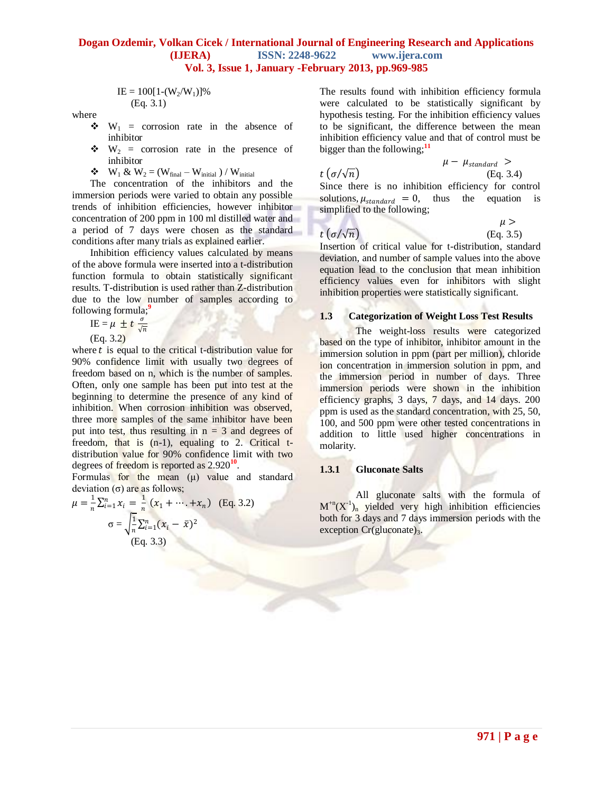$$
IE = 100[1-(W_2/W_1)]\%
$$
  
(Eq. 3.1)

where

- $\mathbf{\hat{v}}$  W<sub>1</sub> = corrosion rate in the absence of inhibitor
- $\mathbf{\hat{v}}$  W<sub>2</sub> = corrosion rate in the presence of inhibitor
- $\bullet \quad W_1 \& W_2 = (W_{final} W_{initial}) / W_{initial}$

The concentration of the inhibitors and the immersion periods were varied to obtain any possible trends of inhibition efficiencies, however inhibitor concentration of 200 ppm in 100 ml distilled water and a period of 7 days were chosen as the standard conditions after many trials as explained earlier.

Inhibition efficiency values calculated by means of the above formula were inserted into a t-distribution function formula to obtain statistically significant results. T-distribution is used rather than Z-distribution due to the low number of samples according to following formula;**<sup>9</sup>**

$$
IE = \mu \pm t \frac{\sigma}{\sqrt{n}}
$$

(Eq. 3.2)

where  $t$  is equal to the critical t-distribution value for 90% confidence limit with usually two degrees of freedom based on n, which is the number of samples. Often, only one sample has been put into test at the beginning to determine the presence of any kind of inhibition. When corrosion inhibition was observed, three more samples of the same inhibitor have been put into test, thus resulting in  $n = 3$  and degrees of freedom, that is (n-1), equaling to 2. Critical tdistribution value for 90% confidence limit with two degrees of freedom is reported as 2.920**<sup>10</sup>** .

Formulas for the mean  $(\mu)$  value and standard deviation (σ) are as follows;

$$
\mu = \frac{1}{n} \sum_{i=1}^{n} x_i = \frac{1}{n} (x_1 + \dots + x_n) \quad \text{(Eq. 3.2)}
$$
\n
$$
\sigma = \sqrt{\frac{1}{n} \sum_{i=1}^{n} (x_i - \bar{x})^2}
$$
\n(Eq. 3.3)

The results found with inhibition efficiency formula were calculated to be statistically significant by hypothesis testing. For the inhibition efficiency values to be significant, the difference between the mean inhibition efficiency value and that of control must be bigger than the following;**<sup>11</sup>**

 $\mu - \mu_{standard} >$  $t\left(\frac{\sigma}{\sqrt{n}}\right)$  (Eq. 3.4) Since there is no inhibition efficiency for control solutions,  $\mu_{standard} = 0$ , thus the equation is simplified to the following;

 $t\left(\frac{\sigma}{\sqrt{n}}\right)$  (Eq. 3.5)

 $\mu >$ 

Insertion of critical value for t-distribution, standard deviation, and number of sample values into the above equation lead to the conclusion that mean inhibition efficiency values even for inhibitors with slight inhibition properties were statistically significant.

#### **1.3 Categorization of Weight Loss Test Results**

The weight-loss results were categorized based on the type of inhibitor, inhibitor amount in the immersion solution in ppm (part per million), chloride ion concentration in immersion solution in ppm, and the immersion period in number of days. Three immersion periods were shown in the inhibition efficiency graphs, 3 days, 7 days, and 14 days. 200 ppm is used as the standard concentration, with 25, 50, 100, and 500 ppm were other tested concentrations in addition to little used higher concentrations in molarity.

#### **1.3.1 Gluconate Salts**

All gluconate salts with the formula of  $M^{+n}(X^{-1})$ <sub>n</sub> yielded very high inhibition efficiencies both for 3 days and 7 days immersion periods with the exception  $Cr(gluconate)_3$ .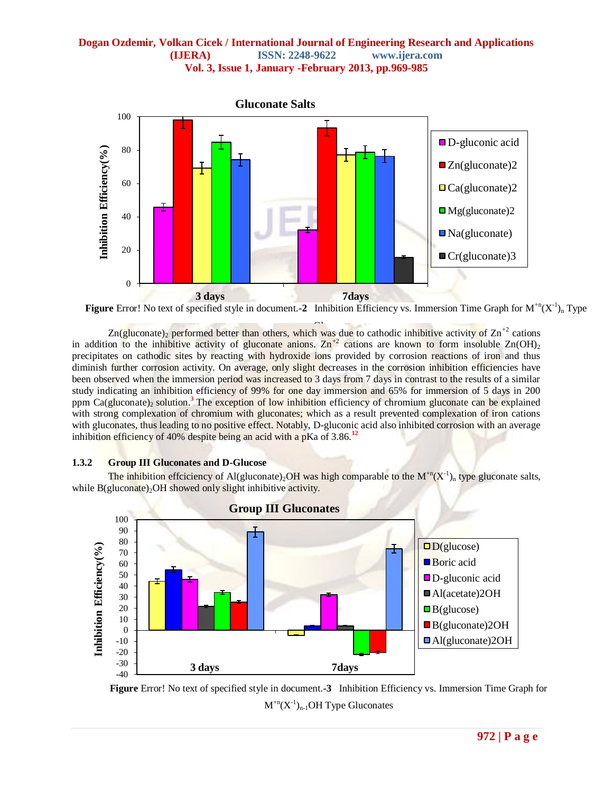



 $Zn$ (gluconate)<sub>2</sub> performed better than others, which was due to cathodic inhibitive activity of  $Zn^{+2}$  cations in addition to the inhibitive activity of gluconate anions.  $\text{Zn}^{+2}$  cations are known to form insoluble  $\text{Zn}(\text{OH})_2$ precipitates on cathodic sites by reacting with hydroxide ions provided by corrosion reactions of iron and thus diminish further corrosion activity. On average, only slight decreases in the corrosion inhibition efficiencies have been observed when the immersion period was increased to 3 days from 7 days in contrast to the results of a similar study indicating an inhibition efficiency of 99% for one day immersion and 65% for immersion of 5 days in 200 ppm  $Ca(gluconate)_2$  solution.<sup>3</sup> The exception of low inhibition efficiency of chromium gluconate can be explained with strong complexation of chromium with gluconates; which as a result prevented complexation of iron cations with gluconates, thus leading to no positive effect. Notably, D-gluconic acid also inhibited corrosion with an average inhibition efficiency of 40% despite being an acid with a pKa of 3.86.**<sup>12</sup>**

#### **1.3.2 Group III Gluconates and D-Glucose**

The inhibition effciciency of Al(gluconate)<sub>2</sub>OH was high comparable to the  $M^{n} (X^{-1})_n$  type gluconate salts, while  $B$ (gluconate)<sub>2</sub>OH showed only slight inhibitive activity.



**Figure** Error! No text of specified style in document.**-3** Inhibition Efficiency vs. Immersion Time Graph for  $M^{+n}(X^{-1})_{n-1}$ OH Type Gluconates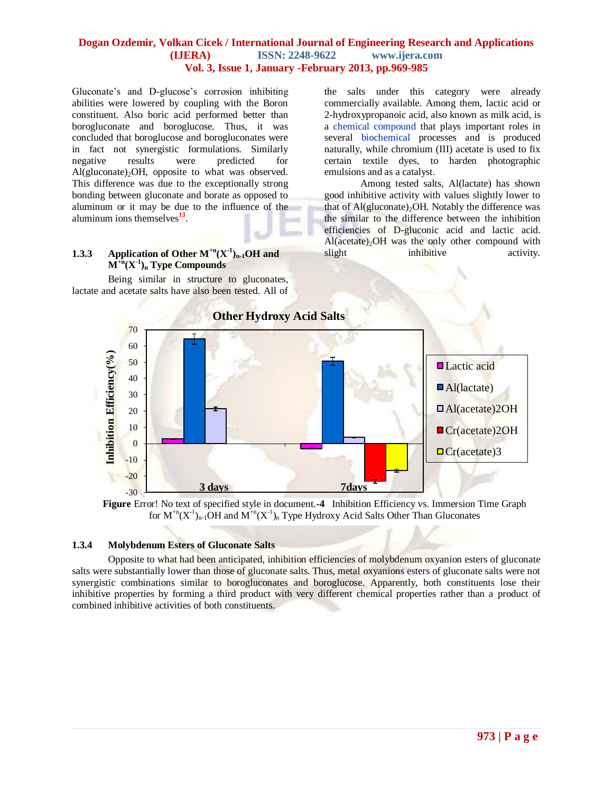Gluconate's and D-glucose's corrosion inhibiting abilities were lowered by coupling with the Boron constituent. Also boric acid performed better than borogluconate and boroglucose. Thus, it was concluded that boroglucose and borogluconates were in fact not synergistic formulations. Similarly negative results were predicted for  $Al(gluconate)<sub>2</sub>OH$ , opposite to what was observed. This difference was due to the exceptionally strong bonding between gluconate and borate as opposed to aluminum or it may be due to the influence of the aluminum ions themselves**<sup>13</sup>** .

## **1.3.3 Application of Other**  $M^{+n}(X^{-1})_{n-1}$  **OH and M+n(X-1 )<sup>n</sup> Type Compounds**

Being similar in structure to gluconates, lactate and acetate salts have also been tested. All of the salts under this category were already commercially available. Among them, lactic acid or 2-hydroxypropanoic acid, also known as milk acid, is a [chemical compound](http://en.wikipedia.org/wiki/Chemical_compound) that plays important roles in several [biochemical](http://en.wikipedia.org/wiki/Biochemistry) processes and is produced naturally, while chromium (III) acetate is used to fix certain textile dyes, to harden photographic emulsions and as a catalyst.

Among tested salts, Al(lactate) has shown good inhibitive activity with values slightly lower to that of  $Al(gluconate)<sub>2</sub>OH$ . Notably the difference was the similar to the difference between the inhibition efficiencies of D-gluconic acid and lactic acid.  $Al(acetate)<sub>2</sub>OH$  was the only other compound with slight inhibitive activity.





#### **1.3.4 Molybdenum Esters of Gluconate Salts**

Opposite to what had been anticipated, inhibition efficiencies of molybdenum oxyanion esters of gluconate salts were substantially lower than those of gluconate salts. Thus, metal oxyanions esters of gluconate salts were not synergistic combinations similar to borogluconates and boroglucose. Apparently, both constituents lose their inhibitive properties by forming a third product with very different chemical properties rather than a product of combined inhibitive activities of both constituents.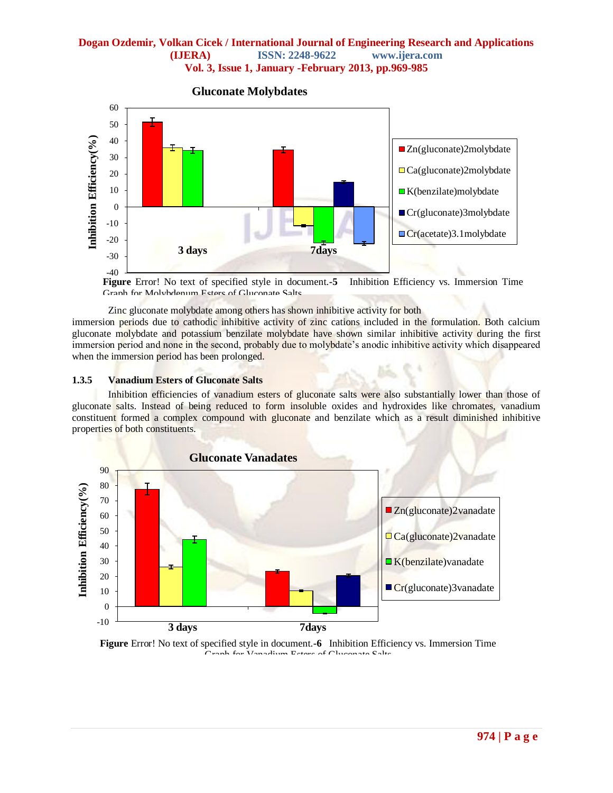

**Gluconate Molybdates**

**Figure** Error! No text of specified style in document.**-5** Inhibition Efficiency vs. Immersion Time Graph for Molybdenum Esters of Gluconate Salts

Zinc gluconate molybdate among others has shown inhibitive activity for both

immersion periods due to cathodic inhibitive activity of zinc cations included in the formulation. Both calcium gluconate molybdate and potassium benzilate molybdate have shown similar inhibitive activity during the first immersion period and none in the second, probably due to molybdate's anodic inhibitive activity which disappeared when the immersion period has been prolonged.

#### **1.3.5 Vanadium Esters of Gluconate Salts**

Inhibition efficiencies of vanadium esters of gluconate salts were also substantially lower than those of gluconate salts. Instead of being reduced to form insoluble oxides and hydroxides like chromates, vanadium constituent formed a complex compound with gluconate and benzilate which as a result diminished inhibitive properties of both constituents.



**Figure** Error! No text of specified style in document.**-6** Inhibition Efficiency vs. Immersion Time .<br>Graph for Vanadium Esters of Chronoste Palts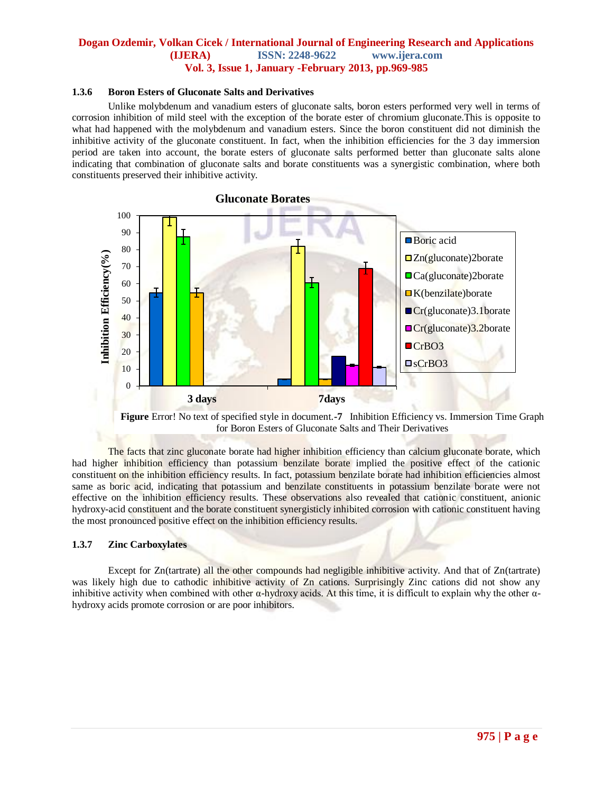#### **1.3.6 Boron Esters of Gluconate Salts and Derivatives**

Unlike molybdenum and vanadium esters of gluconate salts, boron esters performed very well in terms of corrosion inhibition of mild steel with the exception of the borate ester of chromium gluconate.This is opposite to what had happened with the molybdenum and vanadium esters. Since the boron constituent did not diminish the inhibitive activity of the gluconate constituent. In fact, when the inhibition efficiencies for the 3 day immersion period are taken into account, the borate esters of gluconate salts performed better than gluconate salts alone indicating that combination of gluconate salts and borate constituents was a synergistic combination, where both constituents preserved their inhibitive activity.



**Figure** Error! No text of specified style in document.**-7** Inhibition Efficiency vs. Immersion Time Graph for Boron Esters of Gluconate Salts and Their Derivatives

The facts that zinc gluconate borate had higher inhibition efficiency than calcium gluconate borate, which had higher inhibition efficiency than potassium benzilate borate implied the positive effect of the cationic constituent on the inhibition efficiency results. In fact, potassium benzilate borate had inhibition efficiencies almost same as boric acid, indicating that potassium and benzilate constituents in potassium benzilate borate were not effective on the inhibition efficiency results. These observations also revealed that cationic constituent, anionic hydroxy-acid constituent and the borate constituent synergisticly inhibited corrosion with cationic constituent having the most pronounced positive effect on the inhibition efficiency results.

#### **1.3.7 Zinc Carboxylates**

Except for Zn(tartrate) all the other compounds had negligible inhibitive activity. And that of Zn(tartrate) was likely high due to cathodic inhibitive activity of Zn cations. Surprisingly Zinc cations did not show any inhibitive activity when combined with other  $\alpha$ -hydroxy acids. At this time, it is difficult to explain why the other  $\alpha$ hydroxy acids promote corrosion or are poor inhibitors.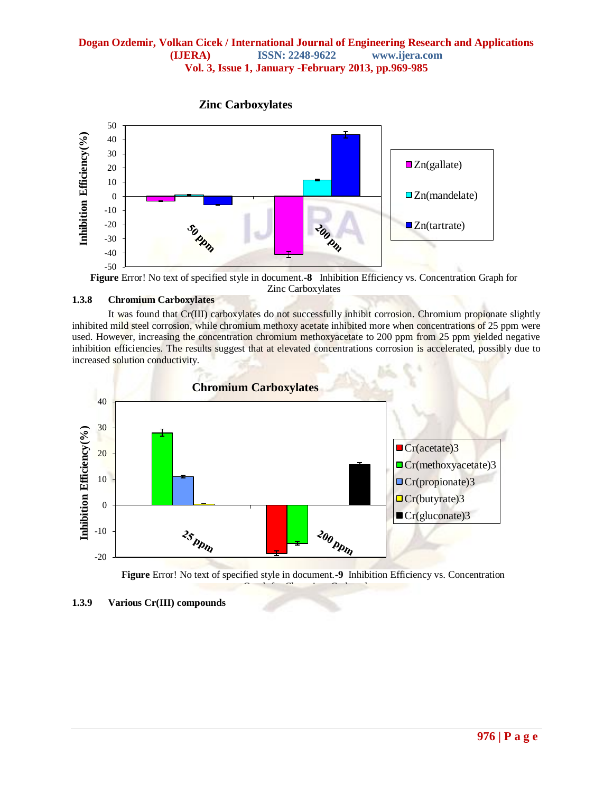

**Figure** Error! No text of specified style in document.**-8** Inhibition Efficiency vs. Concentration Graph for Zinc Carboxylates

## **1.3.8 Chromium Carboxylates**

It was found that Cr(III) carboxylates do not successfully inhibit corrosion. Chromium propionate slightly inhibited mild steel corrosion, while chromium methoxy acetate inhibited more when concentrations of 25 ppm were used. However, increasing the concentration chromium methoxyacetate to 200 ppm from 25 ppm yielded negative inhibition efficiencies. The results suggest that at elevated concentrations corrosion is accelerated, possibly due to increased solution conductivity.



**Figure** Error! No text of specified style in document.**-9** Inhibition Efficiency vs. Concentration Graph for Chromium Carboxylates

**<sup>1.3.9</sup> Various Cr(III) compounds**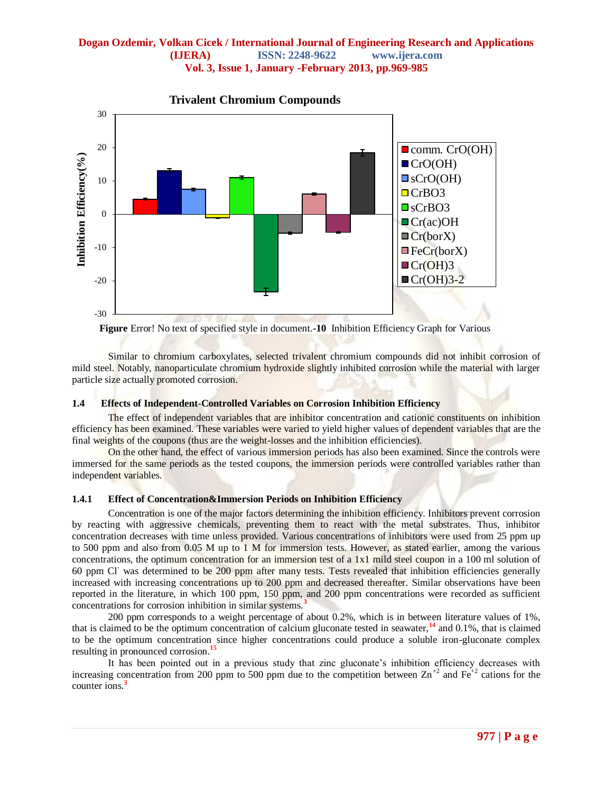

**Trivalent Chromium Compounds**

**Figure** Error! No text of specified style in document.**-10** Inhibition Efficiency Graph for Various Trivalent Chromium Compounds

Similar to chromium carboxylates, selected trivalent chromium compounds did not inhibit corrosion of mild steel. Notably, nanoparticulate chromium hydroxide slightly inhibited corrosion while the material with larger particle size actually promoted corrosion.

#### **1.4 Effects of Independent-Controlled Variables on Corrosion Inhibition Efficiency**

The effect of independent variables that are inhibitor concentration and cationic constituents on inhibition efficiency has been examined. These variables were varied to yield higher values of dependent variables that are the final weights of the coupons (thus are the weight-losses and the inhibition efficiencies).

On the other hand, the effect of various immersion periods has also been examined. Since the controls were immersed for the same periods as the tested coupons, the immersion periods were controlled variables rather than independent variables.

#### **1.4.1 Effect of Concentration&Immersion Periods on Inhibition Efficiency**

Concentration is one of the major factors determining the inhibition efficiency. Inhibitors prevent corrosion by reacting with aggressive chemicals, preventing them to react with the metal substrates. Thus, inhibitor concentration decreases with time unless provided. Various concentrations of inhibitors were used from 25 ppm up to 500 ppm and also from 0.05 M up to 1 M for immersion tests. However, as stated earlier, among the various concentrations, the optimum concentration for an immersion test of a 1x1 mild steel coupon in a 100 ml solution of 60 ppm Cl- was determined to be 200 ppm after many tests. Tests revealed that inhibition efficiencies generally increased with increasing concentrations up to 200 ppm and decreased thereafter. Similar observations have been reported in the literature, in which 100 ppm, 150 ppm, and 200 ppm concentrations were recorded as sufficient concentrations for corrosion inhibition in similar systems.**<sup>3</sup>**

200 ppm corresponds to a weight percentage of about 0.2%, which is in between literature values of 1%, that is claimed to be the optimum concentration of calcium gluconate tested in seawater,**<sup>14</sup>** and 0.1%, that is claimed to be the optimum concentration since higher concentrations could produce a soluble iron-gluconate complex resulting in pronounced corrosion.**<sup>15</sup>**

It has been pointed out in a previous study that zinc gluconate's inhibition efficiency decreases with increasing concentration from 200 ppm to 500 ppm due to the competition between  $\text{Zn}^{+2}$  and Fe<sup>+2</sup> cations for the counter ions.**<sup>3</sup>**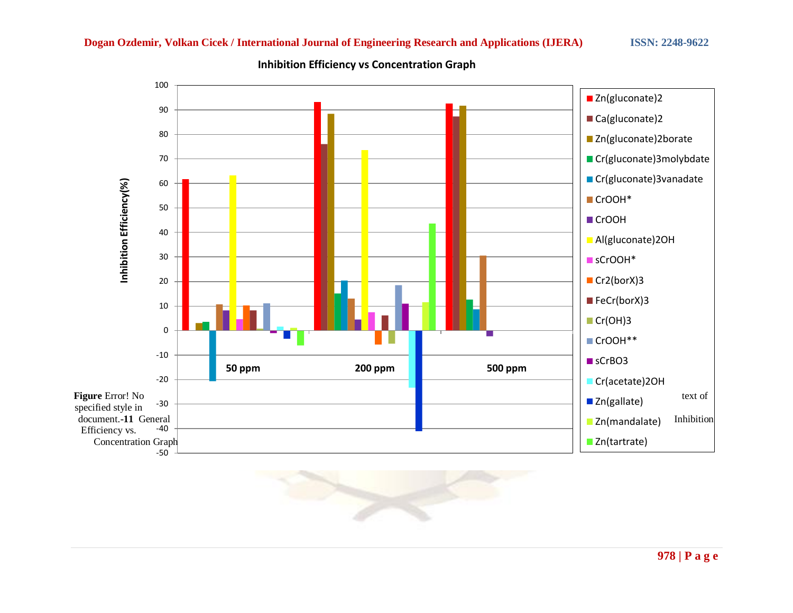

**www.ijera.com Inhibition Efficiency vs Concentration Graph** 

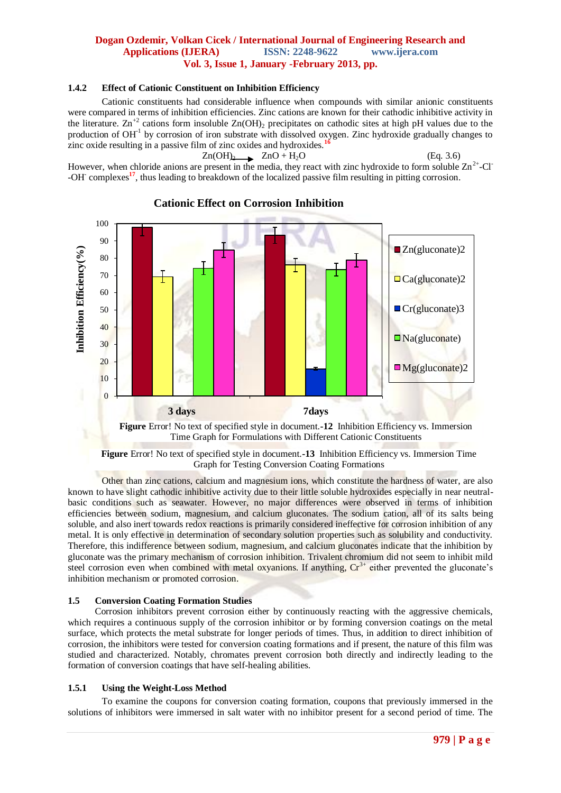#### **1.4.2 Effect of Cationic Constituent on Inhibition Efficiency**

Cationic constituents had considerable influence when compounds with similar anionic constituents were compared in terms of inhibition efficiencies. Zinc cations are known for their cathodic inhibitive activity in the literature.  $\text{Zn}^{+2}$  cations form insoluble  $\text{Zn}(\text{OH})_2$  precipitates on cathodic sites at high pH values due to the production of OH<sup>-1</sup> by corrosion of iron substrate with dissolved oxygen. Zinc hydroxide gradually changes to zinc oxide resulting in a passive film of zinc oxides and hydroxides.**<sup>16</sup>**

#### $Zn(OH)_{2}$   $ZnO + H_{2}O$  (Eq. 3.6) However, when chloride anions are present in the media, they react with zinc hydroxide to form soluble  $\text{Zn}^{2+}$ -Cl<sup>-</sup> -OH<sup>-</sup> complexes<sup>17</sup>, thus leading to breakdown of the localized passive film resulting in pitting corrosion.



## **Cationic Effect on Corrosion Inhibition**

Time Graph for Formulations with Different Cationic Constituents

**Figure** Error! No text of specified style in document.**-13** Inhibition Efficiency vs. Immersion Time Graph for Testing Conversion Coating Formations

Other than zinc cations, calcium and magnesium ions, which constitute the hardness of water, are also known to have slight cathodic inhibitive activity due to their little soluble hydroxides especially in near neutralbasic conditions such as seawater. However, no major differences were observed in terms of inhibition efficiencies between sodium, magnesium, and calcium gluconates. The sodium cation, all of its salts being soluble, and also inert towards redox reactions is primarily considered ineffective for corrosion inhibition of any metal. It is only effective in determination of secondary solution properties such as solubility and conductivity. Therefore, this indifference between sodium, magnesium, and calcium gluconates indicate that the inhibition by gluconate was the primary mechanism of corrosion inhibition. Trivalent chromium did not seem to inhibit mild steel corrosion even when combined with metal oxyanions. If anything,  $Cr<sup>3+</sup>$  either prevented the gluconate's inhibition mechanism or promoted corrosion.

## **1.5 Conversion Coating Formation Studies**

Corrosion inhibitors prevent corrosion either by continuously reacting with the aggressive chemicals, which requires a continuous supply of the corrosion inhibitor or by forming conversion coatings on the metal surface, which protects the metal substrate for longer periods of times. Thus, in addition to direct inhibition of corrosion, the inhibitors were tested for conversion coating formations and if present, the nature of this film was studied and characterized. Notably, chromates prevent corrosion both directly and indirectly leading to the formation of conversion coatings that have self-healing abilities.

## **1.5.1 Using the Weight-Loss Method**

To examine the coupons for conversion coating formation, coupons that previously immersed in the solutions of inhibitors were immersed in salt water with no inhibitor present for a second period of time. The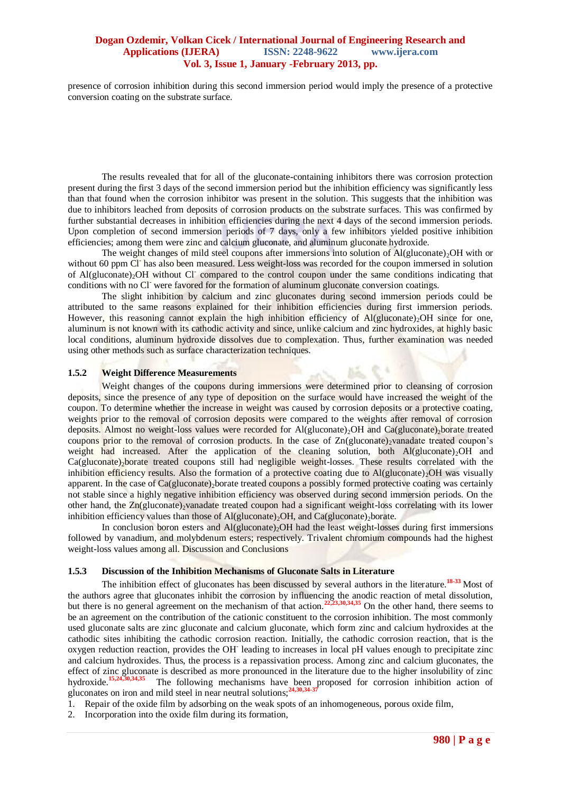presence of corrosion inhibition during this second immersion period would imply the presence of a protective conversion coating on the substrate surface.

The results revealed that for all of the gluconate-containing inhibitors there was corrosion protection present during the first 3 days of the second immersion period but the inhibition efficiency was significantly less than that found when the corrosion inhibitor was present in the solution. This suggests that the inhibition was due to inhibitors leached from deposits of corrosion products on the substrate surfaces. This was confirmed by further substantial decreases in inhibition efficiencies during the next 4 days of the second immersion periods. Upon completion of second immersion periods of 7 days, only a few inhibitors yielded positive inhibition efficiencies; among them were zinc and calcium gluconate, and aluminum gluconate hydroxide.

The weight changes of mild steel coupons after immersions into solution of  $Al(gluconate)<sub>2</sub>OH$  with or without 60 ppm Cl<sup>-</sup> has also been measured. Less weight-loss was recorded for the coupon immersed in solution of Al(gluconate)<sub>2</sub>OH without Cl<sup>-</sup> compared to the control coupon under the same conditions indicating that conditions with no Cl- were favored for the formation of aluminum gluconate conversion coatings.

The slight inhibition by calcium and zinc gluconates during second immersion periods could be attributed to the same reasons explained for their inhibition efficiencies during first immersion periods. However, this reasoning cannot explain the high inhibition efficiency of Al(gluconate). OH since for one, aluminum is not known with its cathodic activity and since, unlike calcium and zinc hydroxides, at highly basic local conditions, aluminum hydroxide dissolves due to complexation. Thus, further examination was needed using other methods such as surface characterization techniques.

#### **1.5.2 Weight Difference Measurements**

Weight changes of the coupons during immersions were determined prior to cleansing of corrosion deposits, since the presence of any type of deposition on the surface would have increased the weight of the coupon. To determine whether the increase in weight was caused by corrosion deposits or a protective coating, weights prior to the removal of corrosion deposits were compared to the weights after removal of corrosion deposits. Almost no weight-loss values were recorded for Al(gluconate)<sub>2</sub>OH and Ca(gluconate)<sub>2</sub>borate treated coupons prior to the removal of corrosion products. In the case of  $Zn$ (gluconate)<sub>2</sub>vanadate treated coupon's weight had increased. After the application of the cleaning solution, both  $Al(glucontact)<sub>2</sub>OH$  and  $Ca(gluconate)$ <sub>2</sub>borate treated coupons still had negligible weight-losses. These results correlated with the inhibition efficiency results. Also the formation of a protective coating due to  $Al(glucontact)_{2}OH$  was visually apparent. In the case of Ca(gluconate) borate treated coupons a possibly formed protective coating was certainly not stable since a highly negative inhibition efficiency was observed during second immersion periods. On the other hand, the  $Zn$ (gluconate)<sub>2</sub>vanadate treated coupon had a significant weight-loss correlating with its lower inhibition efficiency values than those of Al(gluconate)<sub>2</sub>OH, and Ca(gluconate)<sub>2</sub>borate.

In conclusion boron esters and  $Al(glucontact)_2OH$  had the least weight-losses during first immersions followed by vanadium, and molybdenum esters; respectively. Trivalent chromium compounds had the highest weight-loss values among all. Discussion and Conclusions

#### **1.5.3 Discussion of the Inhibition Mechanisms of Gluconate Salts in Literature**

The inhibition effect of gluconates has been discussed by several authors in the literature.**18-33** Most of the authors agree that gluconates inhibit the corrosion by influencing the anodic reaction of metal dissolution, but there is no general agreement on the mechanism of that action.**22,23,30,34,35** On the other hand, there seems to be an agreement on the contribution of the cationic constituent to the corrosion inhibition. The most commonly used gluconate salts are zinc gluconate and calcium gluconate, which form zinc and calcium hydroxides at the cathodic sites inhibiting the cathodic corrosion reaction. Initially, the cathodic corrosion reaction, that is the oxygen reduction reaction, provides the OH leading to increases in local pH values enough to precipitate zinc and calcium hydroxides. Thus, the process is a repassivation process. Among zinc and calcium gluconates, the effect of zinc gluconate is described as more pronounced in the literature due to the higher insolubility of zinc hydroxide.**15,24,30,34,35** The following mechanisms have been proposed for corrosion inhibition action of gluconates on iron and mild steel in near neutral solutions;**24,30,34-37**

1. Repair of the oxide film by adsorbing on the weak spots of an inhomogeneous, porous oxide film,

2. Incorporation into the oxide film during its formation,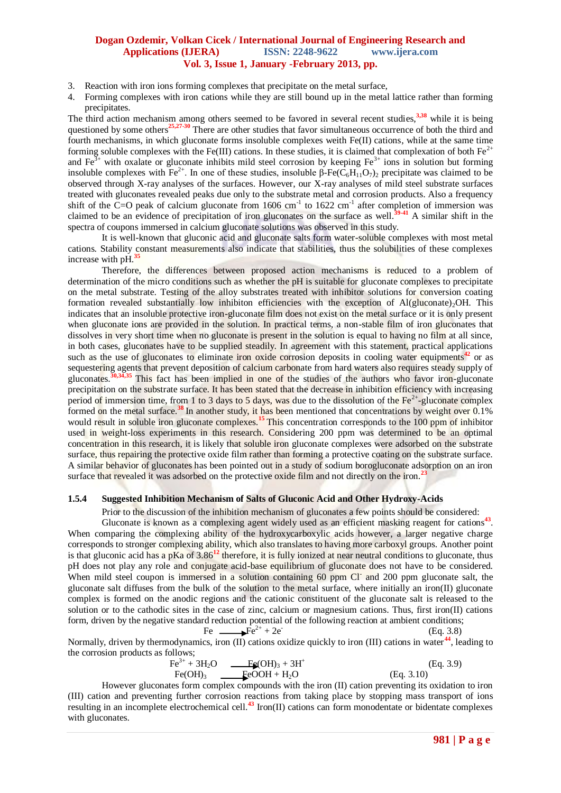- 3. Reaction with iron ions forming complexes that precipitate on the metal surface,
- 4. Forming complexes with iron cations while they are still bound up in the metal lattice rather than forming precipitates.

The third action mechanism among others seemed to be favored in several recent studies,**3,38** while it is being questioned by some others**25,27-30** There are other studies that favor simultaneous occurrence of both the third and fourth mechanisms, in which gluconate forms insoluble complexes weith Fe(II) cations, while at the same time forming soluble complexes with the Fe(III) cations. In these studies, it is claimed that complexation of both  $Fe^{2+}$ and  $\text{Fe}^{3+}$  with oxalate or gluconate inhibits mild steel corrosion by keeping  $\text{Fe}^{3+}$  ions in solution but forming insoluble complexes with  $Fe^{2+}$ . In one of these studies, insoluble β-Fe( $\tilde{C}_6H_{11}O_7$ )<sub>2</sub> precipitate was claimed to be observed through X-ray analyses of the surfaces. However, our X-ray analyses of mild steel substrate surfaces treated with gluconates revealed peaks due only to the substrate metal and corrosion products. Also a frequency shift of the C=O peak of calcium gluconate from  $1606 \text{ cm}^{-1}$  to  $1622 \text{ cm}^{-1}$  after completion of immersion was claimed to be an evidence of precipitation of iron gluconates on the surface as well.**39-41** A similar shift in the spectra of coupons immersed in calcium gluconate solutions was observed in this study.

It is well-known that gluconic acid and gluconate salts form water-soluble complexes with most metal cations. Stability constant measurements also indicate that stabilities, thus the solubilities of these complexes increase with pH.<sup>3</sup>

Therefore, the differences between proposed action mechanisms is reduced to a problem of determination of the micro conditions such as whether the pH is suitable for gluconate complexes to precipitate on the metal substrate. Testing of the alloy substrates treated with inhibitor solutions for conversion coating formation revealed substantially low inhibiton efficiencies with the exception of  $Al(glu\text{const})_2OH$ . This indicates that an insoluble protective iron-gluconate film does not exist on the metal surface or it is only present when gluconate ions are provided in the solution. In practical terms, a non-stable film of iron gluconates that dissolves in very short time when no gluconate is present in the solution is equal to having no film at all since, in both cases, gluconates have to be supplied steadily. In agreement with this statement, practical applications such as the use of gluconates to eliminate iron oxide corrosion deposits in cooling water equipments<sup>42</sup> or as sequestering agents that prevent deposition of calcium carbonate from hard waters also requires steady supply of gluconates.**30,34,35** This fact has been implied in one of the studies of the authors who favor iron-gluconate precipitation on the substrate surface. It has been stated that the decrease in inhibition efficiency with increasing period of immersion time, from 1 to 3 days to 5 days, was due to the dissolution of the  $Fe^{2+}$ -gluconate complex formed on the metal surface.**<sup>38</sup>**In another study, it has been mentioned that concentrations by weight over 0.1% would result in soluble iron gluconate complexes.**<sup>15</sup>**This concentration corresponds to the 100 ppm of inhibitor used in weight-loss experiments in this research. Considering 200 ppm was determined to be an optimal concentration in this research, it is likely that soluble iron gluconate complexes were adsorbed on the substrate surface, thus repairing the protective oxide film rather than forming a protective coating on the substrate surface. A similar behavior of gluconates has been pointed out in a study of sodium borogluconate adsorption on an iron surface that revealed it was adsorbed on the protective oxide film and not directly on the iron.**<sup>23</sup>**

#### **1.5.4 Suggested Inhibition Mechanism of Salts of Gluconic Acid and Other Hydroxy-Acids**

Prior to the discussion of the inhibition mechanism of gluconates a few points should be considered:

Gluconate is known as a complexing agent widely used as an efficient masking reagent for cations<sup>43</sup>. When comparing the complexing ability of the hydroxycarboxylic acids however, a larger negative charge corresponds to stronger complexing ability, which also translates to having more carboxyl groups. Another point is that gluconic acid has a pKa of 3.86**<sup>12</sup>** therefore, it is fully ionized at near neutral conditions to gluconate, thus pH does not play any role and conjugate acid-base equilibrium of gluconate does not have to be considered. When mild steel coupon is immersed in a solution containing 60 ppm Cl and 200 ppm gluconate salt, the gluconate salt diffuses from the bulk of the solution to the metal surface, where initially an iron(II) gluconate complex is formed on the anodic regions and the cationic constituent of the gluconate salt is released to the solution or to the cathodic sites in the case of zinc, calcium or magnesium cations. Thus, first iron(II) cations form, driven by the negative standard reduction potential of the following reaction at ambient conditions;

Fe  $\overline{Fe}^{2+} + 2e^{-}$ (Eq. 3.8)

Normally, driven by thermodynamics, iron (II) cations oxidize quickly to iron (III) cations in water **<sup>44</sup>**, leading to the corrosion products as follows;

Fe3+ + 3H2O Fe(OH)<sup>3</sup> + 3H<sup>+</sup> (Eq. 3.9) Fe(OH)3 FeOOH + H2O (Eq. 3.10)

However gluconates form complex compounds with the iron (II) cation preventing its oxidation to iron (III) cation and preventing further corrosion reactions from taking place by stopping mass transport of ions resulting in an incomplete electrochemical cell.**<sup>43</sup>** Iron(II) cations can form monodentate or bidentate complexes with gluconates.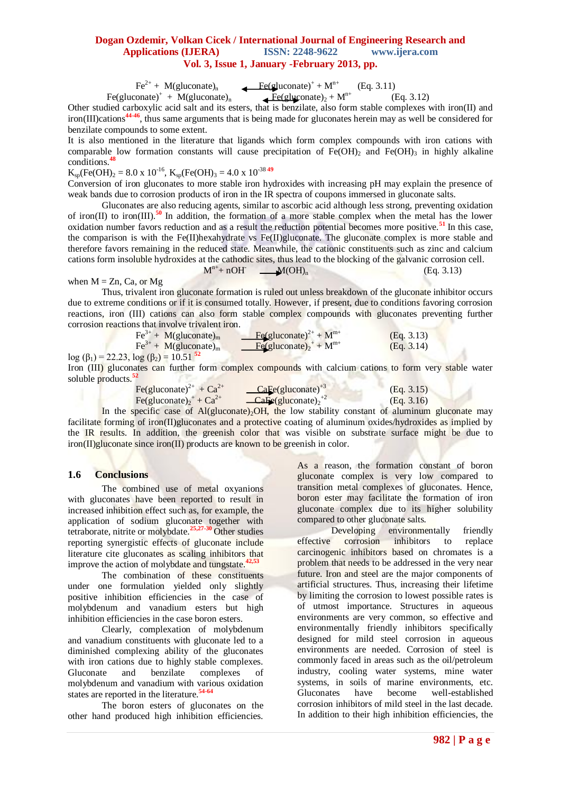$Fe<sup>2+</sup> + M(gluconate)<sub>n</sub>$  $\leftarrow$  Fe(gluconate)<sup>+</sup> + M<sup>n+</sup> (Eq. 3.11)

Fe(gluconate)<sup>+</sup> + M(gluconate)<sub>n</sub> Fe(gluconate)<sub>2</sub> + M<sup>n+</sup> (Eq. 3.12)

Other studied carboxylic acid salt and its esters, that is benzilate, also form stable complexes with iron(II) and iron(III)cations**44-46**, thus same arguments that is being made for gluconates herein may as well be considered for benzilate compounds to some extent.

It is also mentioned in the literature that ligands which form complex compounds with iron cations with comparable low formation constants will cause precipitation of  $Fe(OH)_2$  and  $Fe(OH)_3$  in highly alkaline conditions.**<sup>48</sup>**

 $K_{\text{so}}$ (Fe(OH)<sub>2</sub> = 8.0 x 10<sup>-16</sup>,  $K_{\text{so}}$ (Fe(OH)<sub>3</sub> = 4.0 x 10<sup>-38</sup> <sup>49</sup>

Conversion of iron gluconates to more stable iron hydroxides with increasing pH may explain the presence of weak bands due to corrosion products of iron in the IR spectra of coupons immersed in gluconate salts.

Gluconates are also reducing agents, similar to ascorbic acid although less strong, preventing oxidation of iron(II) to iron(III).**<sup>50</sup>**In addition, the formation of a more stable complex when the metal has the lower oxidation number favors reduction and as a result the reduction potential becomes more positive.**<sup>51</sup>**In this case, the comparison is with the Fe(II)hexahydrate vs Fe(II)gluconate. The gluconate complex is more stable and therefore favors remaining in the reduced state. Meanwhile, the cationic constituents such as zinc and calcium cations form insoluble hydroxides at the cathodic sites, thus lead to the blocking of the galvanic corrosion cell.  $M^{n+}$ + nOH  $M(OH)_{n}$  (Eq. 3.13)

## when  $M = Zn$ , Ca, or Mg

Thus, trivalent iron gluconate formation is ruled out unless breakdown of the gluconate inhibitor occurs due to extreme conditions or if it is consumed totally. However, if present, due to conditions favoring corrosion reactions, iron (III) cations can also form stable complex compounds with gluconates preventing further corrosion reactions that involve trivalent iron.

| $\text{Fe}^{3+} + \text{M}(\text{gluconate})_{\text{m}}$ | $Fe(gluconate)^{2+} + M^{m+}$ | (Eq. 3.13) |
|----------------------------------------------------------|-------------------------------|------------|
| $\text{Fe}^{3+} + \text{M}(\text{gluconate})_{\text{m}}$ | $Fe(gluconate)2+ + Mm+$       | (Eq. 3.14) |

 $log (β_1) = 22.23$ ,  $log (β_2) = 10.51$ <sup>52</sup>

Iron (III) gluconates can further form complex compounds with calcium cations to form very stable water soluble products.**<sup>52</sup>** The do ಾಗಿನ SO.

| Fe(gluconate) <sup>2+</sup> + $Ca^{2+}$                    | $\angle$ CaFe(gluconate) <sup>+3</sup>                      | (Eq. 3.15) |
|------------------------------------------------------------|-------------------------------------------------------------|------------|
| Fe(gluconate) <sub>2</sub> <sup>+</sup> + Ca <sup>2+</sup> | $\angle$ <b>CaFe</b> (gluconate) <sub>2</sub> <sup>+2</sup> | (Eq. 3.16) |

In the specific case of  $Al(glu\text{concate})_2OH$ , the low stability constant of aluminum gluconate may facilitate forming of iron(II)gluconates and a protective coating of aluminum oxides/hydroxides as implied by the IR results. In addition, the greenish color that was visible on substrate surface might be due to iron(II)gluconate since iron(II) products are known to be greenish in color.

## **1.6 Conclusions**

The combined use of metal oxyanions with gluconates have been reported to result in increased inhibition effect such as, for example, the application of sodium gluconate together with tetraborate, nitrite or molybdate.**25,27-30** Other studies reporting synergistic effects of gluconate include literature cite gluconates as scaling inhibitors that improve the action of molybdate and tungstate.**42,53**

The combination of these constituents under one formulation yielded only slightly positive inhibition efficiencies in the case of molybdenum and vanadium esters but high inhibition efficiencies in the case boron esters.

Clearly, complexation of molybdenum and vanadium constituents with gluconate led to a diminished complexing ability of the gluconates with iron cations due to highly stable complexes. Gluconate and benzilate complexes of molybdenum and vanadium with various oxidation states are reported in the literature.<sup>54-64</sup>

The boron esters of gluconates on the other hand produced high inhibition efficiencies.

As a reason, the formation constant of boron gluconate complex is very low compared to transition metal complexes of gluconates. Hence, boron ester may facilitate the formation of iron gluconate complex due to its higher solubility compared to other gluconate salts.

Developing environmentally friendly effective corrosion inhibitors to replace carcinogenic inhibitors based on chromates is a problem that needs to be addressed in the very near future. Iron and steel are the major components of artificial structures. Thus, increasing their lifetime by limiting the corrosion to lowest possible rates is of utmost importance. Structures in aqueous environments are very common, so effective and environmentally friendly inhibitors specifically designed for mild steel corrosion in aqueous environments are needed. Corrosion of steel is commonly faced in areas such as the oil/petroleum industry, cooling water systems, mine water systems, in soils of marine environments, etc. Gluconates have become well-established corrosion inhibitors of mild steel in the last decade. In addition to their high inhibition efficiencies, the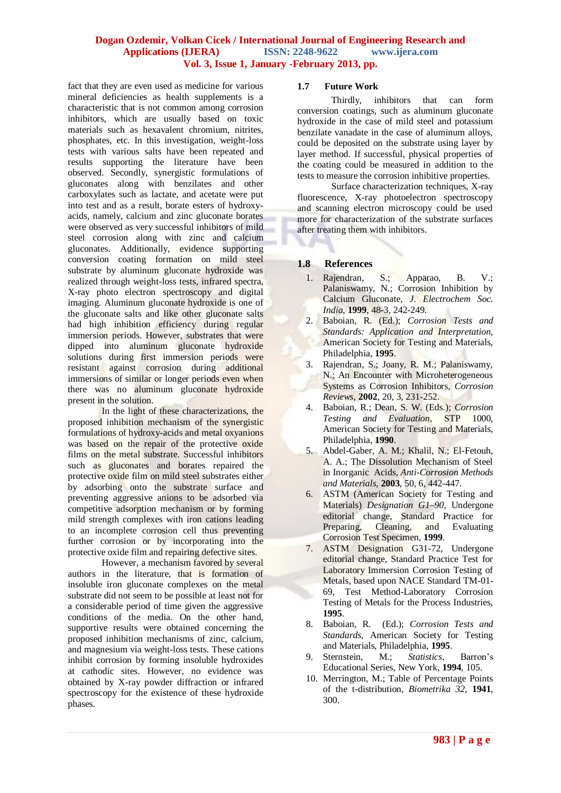fact that they are even used as medicine for various mineral deficiencies as health supplements is a characteristic that is not common among corrosion inhibitors, which are usually based on toxic materials such as hexavalent chromium, nitrites, phosphates, etc. In this investigation, weight-loss tests with various salts have been repeated and results supporting the literature have been observed. Secondly, synergistic formulations of gluconates along with benzilates and other carboxylates such as lactate, and acetate were put into test and as a result, borate esters of hydroxyacids, namely, calcium and zinc gluconate borates were observed as very successful inhibitors of mild steel corrosion along with zinc and calcium gluconates. Additionally, evidence supporting conversion coating formation on mild steel substrate by aluminum gluconate hydroxide was realized through weight-loss tests, infrared spectra, X-ray photo electron spectroscopy and digital imaging. Aluminum gluconate hydroxide is one of the gluconate salts and like other gluconate salts had high inhibition efficiency during regular immersion periods. However, substrates that were dipped into aluminum gluconate hydroxide solutions during first immersion periods were resistant against corrosion during additional immersions of similar or longer periods even when there was no aluminum gluconate hydroxide present in the solution.

In the light of these characterizations, the proposed inhibition mechanism of the synergistic formulations of hydroxy-acids and metal oxyanions was based on the repair of the protective oxide films on the metal substrate. Successful inhibitors such as gluconates and borates repaired the protective oxide film on mild steel substrates either by adsorbing onto the substrate surface and preventing aggressive anions to be adsorbed via competitive adsorption mechanism or by forming mild strength complexes with iron cations leading to an incomplete corrosion cell thus preventing further corrosion or by incorporating into the protective oxide film and repairing defective sites.

However, a mechanism favored by several authors in the literature, that is formation of insoluble iron gluconate complexes on the metal substrate did not seem to be possible at least not for a considerable period of time given the aggressive conditions of the media. On the other hand, supportive results were obtained concerning the proposed inhibition mechanisms of zinc, calcium, and magnesium via weight-loss tests. These cations inhibit corrosion by forming insoluble hydroxides at cathodic sites. However, no evidence was obtained by X-ray powder diffraction or infrared spectroscopy for the existence of these hydroxide phases.

#### **1.7 Future Work**

Thirdly, inhibitors that can form conversion coatings, such as aluminum gluconate hydroxide in the case of mild steel and potassium benzilate vanadate in the case of aluminum alloys, could be deposited on the substrate using layer by layer method. If successful, physical properties of the coating could be measured in addition to the tests to measure the corrosion inhibitive properties.

Surface characterization techniques, X-ray fluorescence, X-ray photoelectron spectroscopy and scanning electron microscopy could be used more for characterization of the substrate surfaces after treating them with inhibitors.

## **1.8 References**

- 1. Rajendran, S.; Apparao, B. V.; Palaniswamy, N.; Corrosion Inhibition by Calcium Gluconate, *J. Electrochem Soc. India*, **1999**, 48-3, 242-249.
- 2. Baboian, R. (Ed.); *Corrosion Tests and Standards: Application and Interpretation*, American Society for Testing and Materials, Philadelphia, **1995**.
- 3. Rajendran, S.; Joany, R. M.; Palaniswamy, N.; An Encounter with Microheterogeneous Systems as Corrosion Inhibitors, *Corrosion Reviews*, **2002**, 20, 3, 231-252.
- 4. Baboian, R.; Dean, S. W. (Eds.); *Corrosion Testing and Evaluation*, STP 1000, American Society for Testing and Materials, Philadelphia, **1990**.
- 5. Abdel-Gaber, A. M.; Khalil, N.; El-Fetouh, A. A.; The Dissolution Mechanism of Steel in Inorganic Acids, *Anti-Corrosion Methods and Materials*, **2003**, 50, 6, 442-447.
- 6. ASTM (American Society for Testing and Materials) *Designation G1–90*, Undergone editorial change, Standard Practice for Preparing, Cleaning, and Evaluating Corrosion Test Specimen, **1999**.
- 7. ASTM Designation G31-72, Undergone editorial change, Standard Practice Test for Laboratory Immersion Corrosion Testing of Metals, based upon NACE Standard TM-01- 69, Test Method-Laboratory Corrosion Testing of Metals for the Process Industries, **1995**.
- 8. Baboian, R. (Ed.); *Corrosion Tests and Standards*, American Society for Testing and Materials, Philadelphia, **1995**.
- 9. Sternstein, M.; *Statistics*, Barron's Educational Series, New York, **1994**, 105.
- 10. Merrington, M.; Table of Percentage Points of the t-distribution, *Biometrika 32*, **1941**, 300.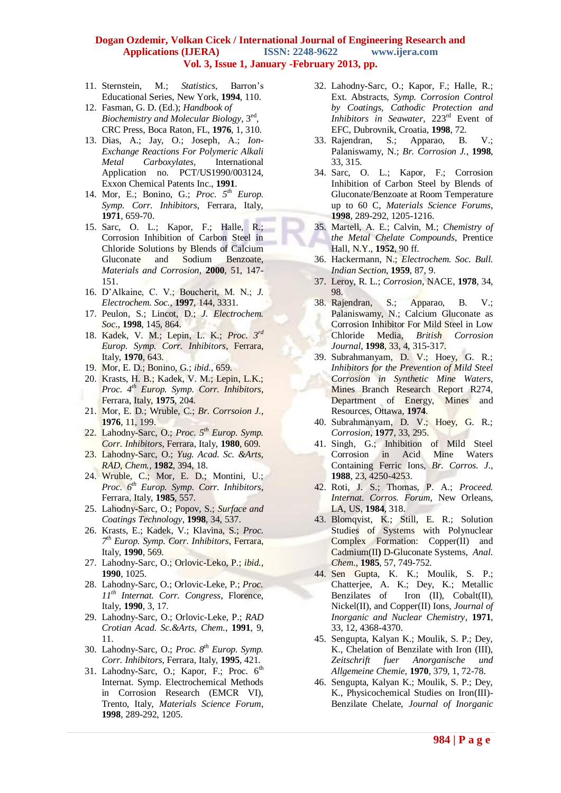- 11. Sternstein, M.; *Statistics*, Barron's Educational Series, New York, **1994**, 110.
- 12. Fasman, G. D. (Ed.); *Handbook of Biochemistry and Molecular Biology*, 3ed , CRC Press, Boca Raton, FL, **1976**, 1, 310.
- 13. Dias, A.; Jay, O.; Joseph, A.; *Ion-Exchange Reactions For Polymeric Alkali Metal Carboxylates*, International Application no. PCT/US1990/003124, Exxon Chemical Patents Inc., **1991**.
- 14. Mor, E.; Bonino, G.; *Proc. 5th Europ. Symp. Corr. Inhibitors*, Ferrara, Italy, **1971**, 659-70.
- 15. Sarc, O. L.; Kapor, F.; Halle, R.; Corrosion Inhibition of Carbon Steel in Chloride Solutions by Blends of Calcium Gluconate and Sodium Benzoate, *Materials and Corrosion*, **2000**, 51, 147- 151.
- 16. D'Alkaine, C. V.; Boucherit, M. N.; *J. Electrochem. Soc.*, **1997**, 144, 3331.
- 17. Peulon, S.; Lincot, D.; *J. Electrochem. Soc.*, **1998**, 145, 864.
- 18. Kadek, V. M.; Lepin, L. K.; *Proc. 3rd Europ. Symp. Corr. Inhibitors*, Ferrara, Italy, **1970**, 643.
- 19. Mor, E. D.; Bonino, G.; *ibid.*, 659.
- 20. Krasts, H. B.; Kadek, V. M.; Lepin, L.K.; *Proc. 4th Europ. Symp. Corr. Inhibitors*, Ferrara, Italy, **1975**, 204.
- 21. Mor, E. D.; Wruble, C.; *Br. Corrsoion J.*, **1976**, 11, 199.
- 22. Lahodny-Sarc, O.; *Proc. 5th Europ. Symp. Corr. Inhibitors*, Ferrara, Italy, **1980**, 609.
- 23. Lahodny-Sarc, O.; *Yug. Acad. Sc. &Arts, RAD, Chem.*, **1982**, 394, 18.
- 24. Wruble, C.; Mor, E. D.; Montini, U.; *Proc. 6th Europ. Symp. Corr. Inhibitors*, Ferrara, Italy, **1985**, 557.
- 25. Lahodny-Sarc, O.; Popov, S.; *Surface and Coatings Technology*, **1998**, 34, 537.
- 26. Krasts, E.; Kadek, V.; Klavina, S.; *Proc. 7 th Europ. Symp. Corr. Inhibitors*, Ferrara, Italy, **1990**, 569.
- 27. Lahodny-Sarc, O.; Orlovic-Leko, P.; *ibid.*, **1990**, 1025.
- 28. Lahodny-Sarc, O.; Orlovic-Leke, P.; *Proc. 11th Internat. Corr. Congress*, Florence, Italy, **1990**, 3, 17.
- 29. Lahodny-Sarc, O.; Orlovic-Leke, P.; *RAD Crotian Acad. Sc.&Arts, Chem.*, **1991**, 9, 11.
- 30. Lahodny-Sarc, O.; *Proc. 8th Europ. Symp. Corr. Inhibitors*, Ferrara, Italy, **1995**, 421.
- 31. Lahodny-Sarc, O.; Kapor, F.; Proc.  $6<sup>th</sup>$ Internat. Symp. Electrochemical Methods in Corrosion Research (EMCR VI), Trento, Italy, *Materials Science Forum*, **1998**, 289-292, 1205.
- 32. Lahodny-Sarc, O.; Kapor, F.; Halle, R.; Ext. Abstracts, *Symp. Corrosion Control by Coatings, Cathodic Protection and Inhibitors in Seawater*, 223rd Event of EFC, Dubrovnik, Croatia, **1998**, 72.
- 33. Rajendran, S.; Apparao, B. V.; Palaniswamy, N.; *Br. Corrosion J.*, **1998**, 33, 315.
- 34. Sarc, O. L.; Kapor, F.; Corrosion Inhibition of Carbon Steel by Blends of Gluconate/Benzoate at Room Temperature up to 60 C, *Materials Science Forums*, **1998**, 289-292, 1205-1216.
- 35. Martell, A. E.; Calvin, M.; *Chemistry of the Metal Chelate Compounds*, Prentice Hall, N.Y., **1952**, 90 ff.
- 36. Hackermann, N.; *Electrochem. Soc. Bull. Indian Section*, **1959**, 87, 9.
- 37. Leroy, R. L.; *Corrosion*, NACE, **1978**, 34, 98.
- 38. Rajendran, S.; Apparao, B. V.; Palaniswamy, N.; Calcium Gluconate as Corrosion Inhibitor For Mild Steel in Low Chloride Media, *British Corrosion Journal*, **1998**, 33, 4, 315-317.
- 39. Subrahmanyam, D. V.; Hoey, G. R.; *Inhibitors for the Prevention of Mild Steel Corrosion in Synthetic Mine Waters*, Mines Branch Research Report R274, Department of Energy, Mines and Resources, Ottawa, **1974**.
- 40. Subrahmanyam, D. V.; Hoey, G. R.; *Corrosion*, **1977**, 33, 295.
- 41. Singh, G.; Inhibition of Mild Steel Corrosion in Acid Mine Waters Containing Ferric Ions, *Br. Corros. J.*, **1988**, 23, 4250-4253.
- 42. Roti, J. S.; Thomas, P. A.; *Proceed. Internat. Corros. Forum*, New Orleans, LA, US, **1984**, 318.
- 43. Blomqvist, K.; Still, E. R.; Solution Studies of Systems with Polynuclear Complex Formation: Copper(II) and Cadmium(II**)** D-Gluconate Systems, *Anal. Chem.*, **1985**, 57, 749-752.
- 44. Sen Gupta, K. K.; Moulik, S. P.; Chatterjee, A. K.; Dey, K.; Metallic Benzilates of Iron (II), Cobalt(II), Nickel(II), and Copper(II) Ions, *Journal of Inorganic and Nuclear Chemistry*, **1971**, 33, 12, 4368-4370.
- 45. Sengupta, Kalyan K.; Moulik, S. P.; Dey, K., Chelation of Benzilate with Iron (III), *Zeitschrift fuer Anorganische und Allgemeine Chemie*, **1970**, 379, 1, 72-78.
- 46. Sengupta, Kalyan K.; Moulik, S. P.; Dey, K., Physicochemical Studies on Iron(III)- Benzilate Chelate, *Journal of Inorganic*